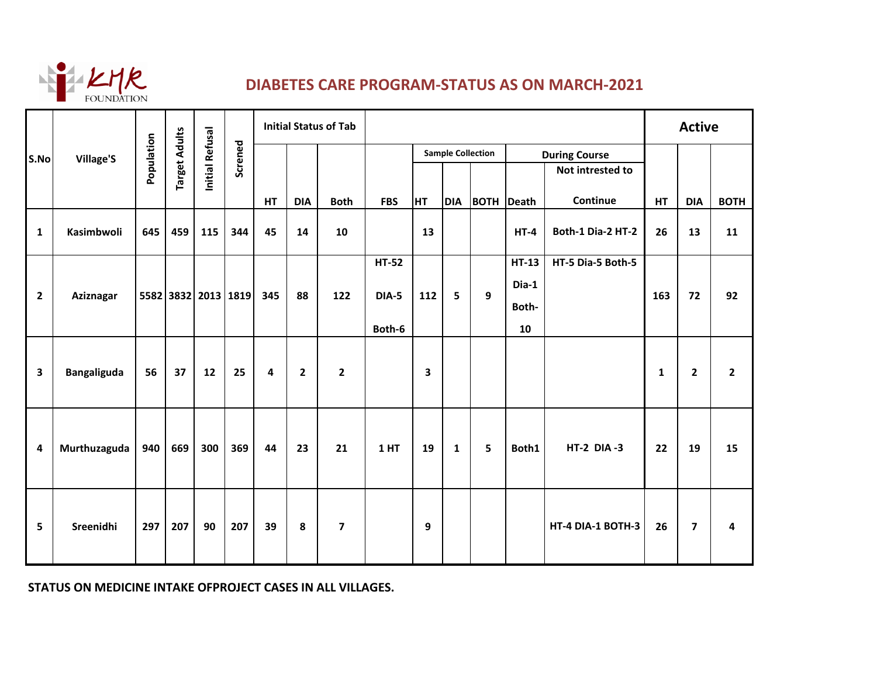

## **DIABETES CARE PROGRAM-STATUS AS ON MARCH-2021**

|                | <b>Village'S</b>   | Population | <b>Target Adults</b> | Initial Refusal     |         | <b>Initial Status of Tab</b> |                |                         |                 |                          |                |                      | <b>Active</b> |                   |              |                         |                |
|----------------|--------------------|------------|----------------------|---------------------|---------|------------------------------|----------------|-------------------------|-----------------|--------------------------|----------------|----------------------|---------------|-------------------|--------------|-------------------------|----------------|
| S.No           |                    |            |                      |                     | Screned |                              |                |                         |                 | <b>Sample Collection</b> |                | <b>During Course</b> |               |                   |              |                         |                |
|                |                    |            |                      |                     |         |                              |                |                         |                 |                          |                |                      |               | Not intrested to  |              |                         |                |
|                |                    |            |                      |                     |         | HT                           | <b>DIA</b>     | <b>Both</b>             | <b>FBS</b>      | <b>HT</b>                | <b>DIA</b>     | <b>BOTH Death</b>    |               | Continue          | <b>HT</b>    | <b>DIA</b>              | <b>BOTH</b>    |
| $\mathbf{1}$   | Kasimbwoli         | 645        | 459                  | 115                 | 344     | 45                           | 14             | 10                      |                 | 13                       |                |                      | $HT-4$        | Both-1 Dia-2 HT-2 | 26           | 13                      | 11             |
|                |                    |            |                      |                     |         |                              |                |                         | <b>HT-52</b>    |                          |                |                      | <b>HT-13</b>  | HT-5 Dia-5 Both-5 |              |                         |                |
|                |                    |            |                      |                     |         |                              |                |                         |                 |                          |                |                      | Dia-1         |                   |              |                         |                |
| $\overline{2}$ | <b>Aziznagar</b>   |            |                      | 5582 3832 2013 1819 |         | 345                          | 88             | 122                     | <b>DIA-5</b>    | 112                      | $5\phantom{a}$ | 9                    | Both-         |                   | 163          | 72                      | 92             |
|                |                    |            |                      |                     |         |                              |                |                         | Both-6          |                          |                |                      | 10            |                   |              |                         |                |
| 3              | <b>Bangaliguda</b> | 56         | 37                   | 12                  | 25      | $\overline{\mathbf{4}}$      | $\overline{2}$ | $\overline{2}$          |                 | $\overline{\mathbf{3}}$  |                |                      |               |                   | $\mathbf{1}$ | $\overline{2}$          | $\overline{2}$ |
| 4              | Murthuzaguda       | 940        | 669                  | 300                 | 369     | 44                           | 23             | 21                      | 1 <sub>HT</sub> | 19                       | $\mathbf{1}$   | 5                    | Both1         | <b>HT-2 DIA-3</b> | 22           | 19                      | 15             |
| 5              | Sreenidhi          | 297        | 207                  | 90                  | 207     | 39                           | 8              | $\overline{\mathbf{z}}$ |                 | 9                        |                |                      |               | HT-4 DIA-1 BOTH-3 | 26           | $\overline{\mathbf{z}}$ | $\overline{4}$ |

**STATUS ON MEDICINE INTAKE OFPROJECT CASES IN ALL VILLAGES.**